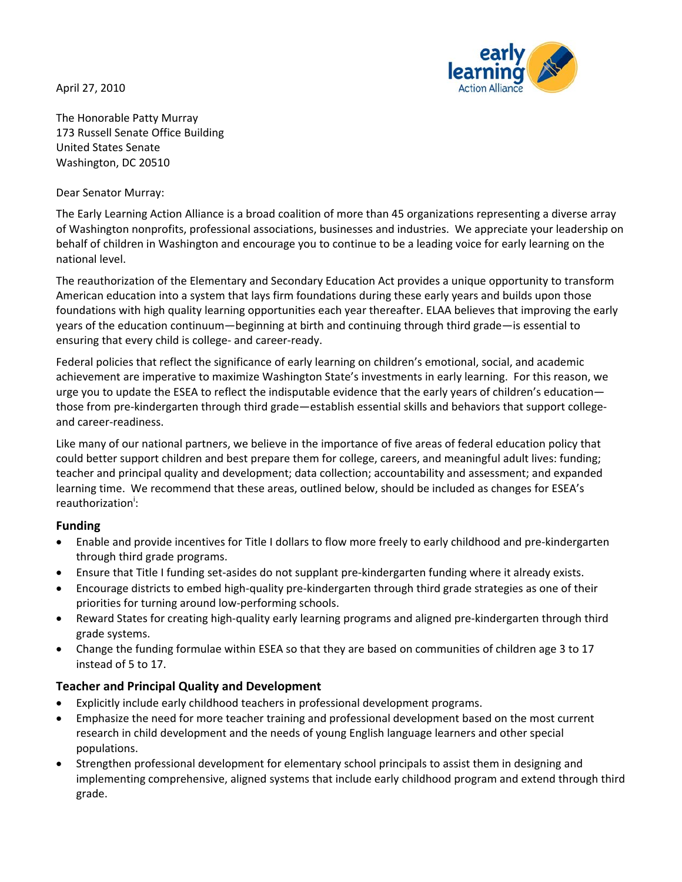April 27, 2010



The Honorable Patty Murray 173 Russell Senate Office Building United States Senate Washington, DC 20510

### Dear Senator Murray:

The Early Learning Action Alliance is a broad coalition of more than 45 organizations representing a diverse array of Washington nonprofits, professional associations, businesses and industries. We appreciate your leadership on behalf of children in Washington and encourage you to continue to be a leading voice for early learning on the national level.

The reauthorization of the Elementary and Secondary Education Act provides a unique opportunity to transform American education into a system that lays firm foundations during these early years and builds upon those foundations with high quality learning opportunities each year thereafter. ELAA believes that improving the early years of the education continuum—beginning at birth and continuing through third grade—is essential to ensuring that every child is college‐ and career‐ready.

Federal policies that reflect the significance of early learning on children's emotional, social, and academic achievement are imperative to maximize Washington State's investments in early learning. For this reason, we urge you to update the ESEA to reflect the indisputable evidence that the early years of children's education those from pre‐kindergarten through third grade—establish essential skills and behaviors that support college‐ and career‐readiness.

Like many of our national partners, we believe in the importance of five areas of federal education policy that could better support children and best prepare them for college, careers, and meaningful adult lives: funding; teacher and principal quality and development; data collection; accountability and assessment; and expanded learning time. We recommend that these areas, outlined below, should be included as changes for ESEA's reauthorization<sup>i</sup>:

## **Funding**

- Enable and provide incentives for Title I dollars to flow more freely to early childhood and pre‐kindergarten through third grade programs.
- Ensure that Title I funding set‐asides do not supplant pre‐kindergarten funding where it already exists.
- Encourage districts to embed high‐quality pre‐kindergarten through third grade strategies as one of their priorities for turning around low‐performing schools.
- Reward States for creating high‐quality early learning programs and aligned pre‐kindergarten through third grade systems.
- Change the funding formulae within ESEA so that they are based on communities of children age 3 to 17 instead of 5 to 17.

# **Teacher and Principal Quality and Development**

- Explicitly include early childhood teachers in professional development programs.
- Emphasize the need for more teacher training and professional development based on the most current research in child development and the needs of young English language learners and other special populations.
- Strengthen professional development for elementary school principals to assist them in designing and implementing comprehensive, aligned systems that include early childhood program and extend through third grade.